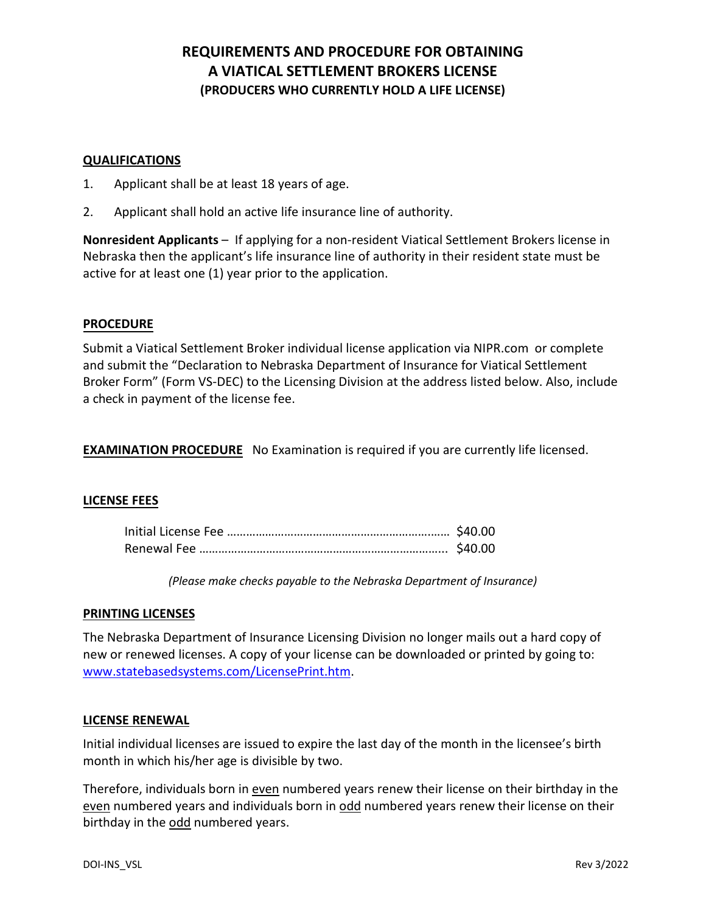## **REQUIREMENTS AND PROCEDURE FOR OBTAINING A VIATICAL SETTLEMENT BROKERS LICENSE (PRODUCERS WHO CURRENTLY HOLD A LIFE LICENSE)**

#### **QUALIFICATIONS**

- 1. Applicant shall be at least 18 years of age.
- 2. Applicant shall hold an active life insurance line of authority.

**Nonresident Applicants** – If applying for a non-resident Viatical Settlement Brokers license in Nebraska then the applicant's life insurance line of authority in their resident state must be active for at least one (1) year prior to the application.

#### **PROCEDURE**

Submit a Viatical Settlement Broker individual license application via NIPR.com or complete and submit the "Declaration to Nebraska Department of Insurance for Viatical Settlement Broker Form" (Form VS-DEC) to the Licensing Division at the address listed below. Also, include a check in payment of the license fee.

**EXAMINATION PROCEDURE** No Examination is required if you are currently life licensed.

#### **LICENSE FEES**

*(Please make checks payable to the Nebraska Department of Insurance)*

#### **PRINTING LICENSES**

The Nebraska Department of Insurance Licensing Division no longer mails out a hard copy of new or renewed licenses. A copy of your license can be downloaded or printed by going to: [www.statebasedsystems.com/LicensePrint.htm.](http://www.statebasedsystems.com/LicensePrint.htm)

#### **LICENSE RENEWAL**

Initial individual licenses are issued to expire the last day of the month in the licensee's birth month in which his/her age is divisible by two.

Therefore, individuals born in even numbered years renew their license on their birthday in the even numbered years and individuals born in odd numbered years renew their license on their birthday in the odd numbered years.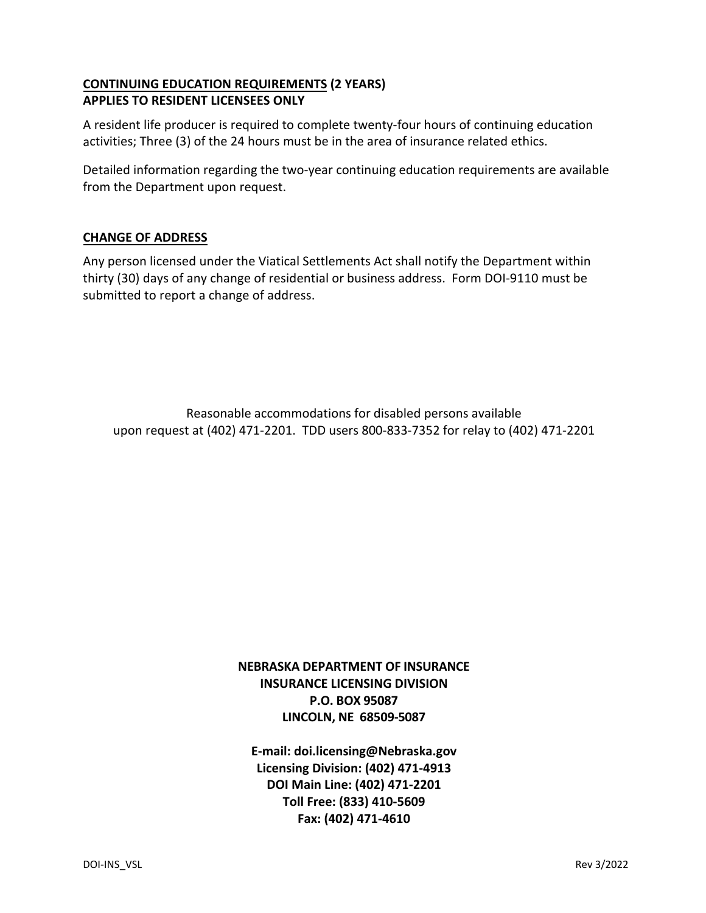## **CONTINUING EDUCATION REQUIREMENTS (2 YEARS) APPLIES TO RESIDENT LICENSEES ONLY**

A resident life producer is required to complete twenty-four hours of continuing education activities; Three (3) of the 24 hours must be in the area of insurance related ethics.

Detailed information regarding the two-year continuing education requirements are available from the Department upon request.

## **CHANGE OF ADDRESS**

Any person licensed under the Viatical Settlements Act shall notify the Department within thirty (30) days of any change of residential or business address. Form DOI-9110 must be submitted to report a change of address.

Reasonable accommodations for disabled persons available upon request at (402) 471-2201. TDD users 800-833-7352 for relay to (402) 471-2201

> **NEBRASKA DEPARTMENT OF INSURANCE INSURANCE LICENSING DIVISION P.O. BOX 95087 LINCOLN, NE 68509-5087**

**E-mail: doi.licensing@Nebraska.gov Licensing Division: (402) 471-4913 DOI Main Line: (402) 471-2201 Toll Free: (833) 410-5609 Fax: (402) 471-4610**